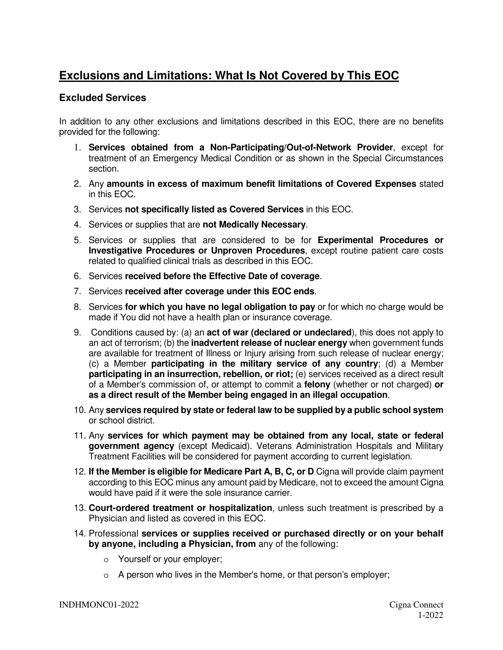## **Exclusions and Limitations: What Is Not Covered by This EOC**

## **Excluded Services**

In addition to any other exclusions and limitations described in this EOC, there are no benefits provided for the following:

- 1. **Services obtained from a Non-Participating/Out-of-Network Provider**, except for treatment of an Emergency Medical Condition or as shown in the Special Circumstances section.
- 2. Any **amounts in excess of maximum benefit limitations of Covered Expenses** stated in this EOC.
- 3. Services **not specifically listed as Covered Services** in this EOC.
- 4. Services or supplies that are **not Medically Necessary**.
- 5. Services or supplies that are considered to be for **Experimental Procedures or Investigative Procedures or Unproven Procedures**, except routine patient care costs related to qualified clinical trials as described in this EOC.
- 6. Services **received before the Effective Date of coverage**.
- 7. Services **received after coverage under this EOC ends**.
- 8. Services **for which you have no legal obligation to pay** or for which no charge would be made if You did not have a health plan or insurance coverage.
- 9. Conditions caused by: (a) an **act of war (declared or undeclared**), this does not apply to an act of terrorism; (b) the **inadvertent release of nuclear energy** when government funds are available for treatment of Illness or Injury arising from such release of nuclear energy; (c) a Member **participating in the military service of any country**; (d) a Member **participating in an insurrection, rebellion, or riot;** (e) services received as a direct result of a Member's commission of, or attempt to commit a **felony** (whether or not charged) **or as a direct result of the Member being engaged in an illegal occupation**.
- 10. Any **services required by state or federal law to be supplied by a public school system** or school district.
- 11. Any **services for which payment may be obtained from any local, state or federal government agency** (except Medicaid). Veterans Administration Hospitals and Military Treatment Facilities will be considered for payment according to current legislation.
- 12. **If the Member is eligible for Medicare Part A, B, C, or D** Cigna will provide claim payment according to this EOC minus any amount paid by Medicare, not to exceed the amount Cigna would have paid if it were the sole insurance carrier.
- 13. **Court-ordered treatment or hospitalization**, unless such treatment is prescribed by a Physician and listed as covered in this EOC.
- 14. Professional **services or supplies received or purchased directly or on your behalf by anyone, including a Physician, from** any of the following:
	- o Yourself or your employer;
	- o A person who lives in the Member's home, or that person's employer;

INDHMONC01-2022 Cigna Connect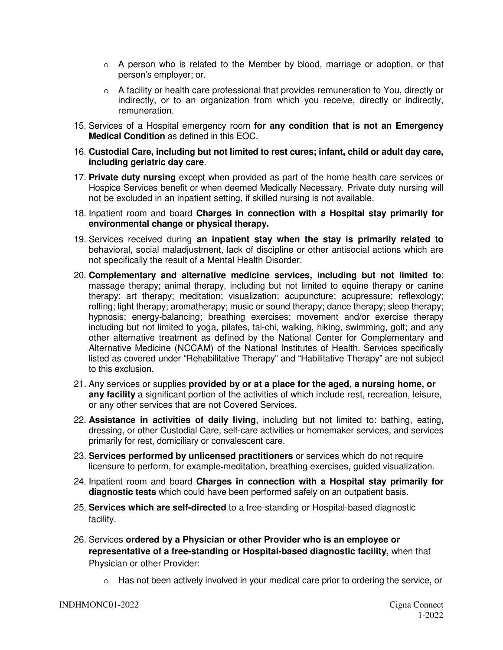- $\circ$  A person who is related to the Member by blood, marriage or adoption, or that person's employer; or.
- o A facility or health care professional that provides remuneration to You, directly or indirectly, or to an organization from which you receive, directly or indirectly, remuneration.
- 15. Services of a Hospital emergency room **for any condition that is not an Emergency Medical Condition** as defined in this EOC.
- 16. **Custodial Care, including but not limited to rest cures; infant, child or adult day care, including geriatric day care**.
- 17. **Private duty nursing** except when provided as part of the home health care services or Hospice Services benefit or when deemed Medically Necessary. Private duty nursing will not be excluded in an inpatient setting, if skilled nursing is not available.
- 18. Inpatient room and board **Charges in connection with a Hospital stay primarily for environmental change or physical therapy.**
- 19. Services received during **an inpatient stay when the stay is primarily related to**  behavioral, social maladjustment, lack of discipline or other antisocial actions which are not specifically the result of a Mental Health Disorder.
- 20. **Complementary and alternative medicine services, including but not limited to**: massage therapy; animal therapy, including but not limited to equine therapy or canine therapy; art therapy; meditation; visualization; acupuncture; acupressure; reflexology; rolfing; light therapy; aromatherapy; music or sound therapy; dance therapy; sleep therapy; hypnosis; energy-balancing; breathing exercises; movement and/or exercise therapy including but not limited to yoga, pilates, tai-chi, walking, hiking, swimming, golf; and any other alternative treatment as defined by the National Center for Complementary and Alternative Medicine (NCCAM) of the National Institutes of Health. Services specifically listed as covered under "Rehabilitative Therapy" and "Habilitative Therapy" are not subject to this exclusion.
- 21. Any services or supplies **provided by or at a place for the aged, a nursing home, or any facility** a significant portion of the activities of which include rest, recreation, leisure, or any other services that are not Covered Services.
- 22. **Assistance in activities of daily living**, including but not limited to: bathing, eating, dressing, or other Custodial Care, self-care activities or homemaker services, and services primarily for rest, domiciliary or convalescent care.
- 23. **Services performed by unlicensed practitioners** or services which do not require licensure to perform, for example meditation, breathing exercises, guided visualization.
- 24. Inpatient room and board **Charges in connection with a Hospital stay primarily for diagnostic tests** which could have been performed safely on an outpatient basis.
- 25. **Services which are self-directed** to a free-standing or Hospital-based diagnostic facility.
- 26. Services **ordered by a Physician or other Provider who is an employee or representative of a free-standing or Hospital-based diagnostic facility**, when that Physician or other Provider:
	- $\circ$  Has not been actively involved in your medical care prior to ordering the service, or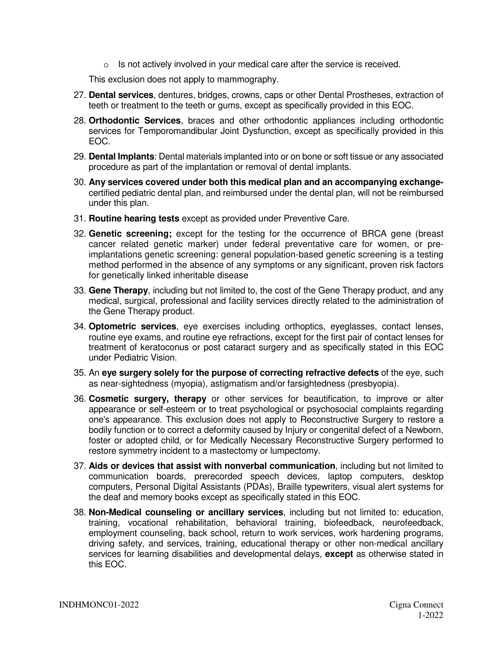$\circ$  Is not actively involved in your medical care after the service is received.

This exclusion does not apply to mammography.

- 27. **Dental services**, dentures, bridges, crowns, caps or other Dental Prostheses, extraction of teeth or treatment to the teeth or gums, except as specifically provided in this EOC.
- 28. **Orthodontic Services**, braces and other orthodontic appliances including orthodontic services for Temporomandibular Joint Dysfunction, except as specifically provided in this EOC.
- 29. **Dental Implants**: Dental materials implanted into or on bone or soft tissue or any associated procedure as part of the implantation or removal of dental implants.
- 30. **Any services covered under both this medical plan and an accompanying exchange**certified pediatric dental plan, and reimbursed under the dental plan, will not be reimbursed under this plan.
- 31. **Routine hearing tests** except as provided under Preventive Care.
- 32. **Genetic screening;** except for the testing for the occurrence of BRCA gene (breast cancer related genetic marker) under federal preventative care for women, or preimplantations genetic screening: general population-based genetic screening is a testing method performed in the absence of any symptoms or any significant, proven risk factors for genetically linked inheritable disease
- 33. **Gene Therapy**, including but not limited to, the cost of the Gene Therapy product, and any medical, surgical, professional and facility services directly related to the administration of the Gene Therapy product.
- 34. **Optometric services**, eye exercises including orthoptics, eyeglasses, contact lenses, routine eye exams, and routine eye refractions, except for the first pair of contact lenses for treatment of keratoconus or post cataract surgery and as specifically stated in this EOC under Pediatric Vision.
- 35. An **eye surgery solely for the purpose of correcting refractive defects** of the eye, such as near-sightedness (myopia), astigmatism and/or farsightedness (presbyopia).
- 36. **Cosmetic surgery, therapy** or other services for beautification, to improve or alter appearance or self-esteem or to treat psychological or psychosocial complaints regarding one's appearance. This exclusion does not apply to Reconstructive Surgery to restore a bodily function or to correct a deformity caused by Injury or congenital defect of a Newborn, foster or adopted child, or for Medically Necessary Reconstructive Surgery performed to restore symmetry incident to a mastectomy or lumpectomy.
- 37. **Aids or devices that assist with nonverbal communication**, including but not limited to communication boards, prerecorded speech devices, laptop computers, desktop computers, Personal Digital Assistants (PDAs), Braille typewriters, visual alert systems for the deaf and memory books except as specifically stated in this EOC.
- 38. **Non-Medical counseling or ancillary services**, including but not limited to: education, training, vocational rehabilitation, behavioral training, biofeedback, neurofeedback, employment counseling, back school, return to work services, work hardening programs, driving safety, and services, training, educational therapy or other non-medical ancillary services for learning disabilities and developmental delays, **except** as otherwise stated in this EOC.

INDHMONC01-2022 Cigna Connect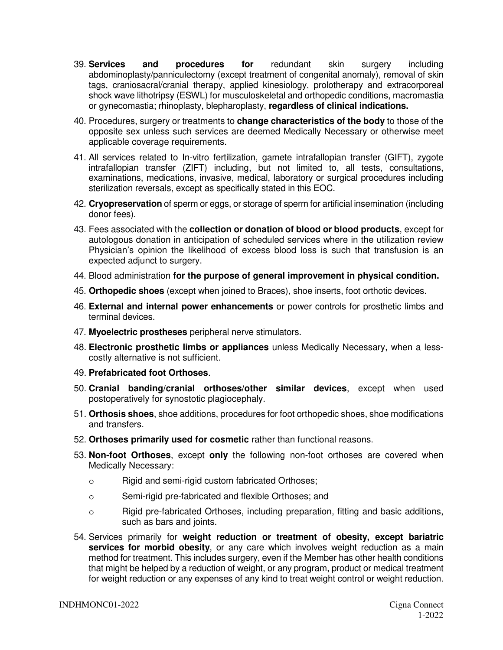- 39. **Services and procedures for** redundant skin surgery including abdominoplasty/panniculectomy (except treatment of congenital anomaly), removal of skin tags, craniosacral/cranial therapy, applied kinesiology, prolotherapy and extracorporeal shock wave lithotripsy (ESWL) for musculoskeletal and orthopedic conditions, macromastia or gynecomastia; rhinoplasty, blepharoplasty, **regardless of clinical indications.**
- 40. Procedures, surgery or treatments to **change characteristics of the body** to those of the opposite sex unless such services are deemed Medically Necessary or otherwise meet applicable coverage requirements.
- 41. All services related to In-vitro fertilization, gamete intrafallopian transfer (GIFT), zygote intrafallopian transfer (ZIFT) including, but not limited to, all tests, consultations, examinations, medications, invasive, medical, laboratory or surgical procedures including sterilization reversals, except as specifically stated in this EOC.
- 42. **Cryopreservation** of sperm or eggs, or storage of sperm for artificial insemination (including donor fees).
- 43. Fees associated with the **collection or donation of blood or blood products**, except for autologous donation in anticipation of scheduled services where in the utilization review Physician's opinion the likelihood of excess blood loss is such that transfusion is an expected adjunct to surgery.
- 44. Blood administration **for the purpose of general improvement in physical condition.**
- 45. **Orthopedic shoes** (except when joined to Braces), shoe inserts, foot orthotic devices.
- 46. **External and internal power enhancements** or power controls for prosthetic limbs and terminal devices.
- 47. **Myoelectric prostheses** peripheral nerve stimulators.
- 48. **Electronic prosthetic limbs or appliances** unless Medically Necessary, when a lesscostly alternative is not sufficient.
- 49. **Prefabricated foot Orthoses**.
- 50. **Cranial banding/cranial orthoses/other similar devices**, except when used postoperatively for synostotic plagiocephaly.
- 51. **Orthosis shoes**, shoe additions, procedures for foot orthopedic shoes, shoe modifications and transfers.
- 52. **Orthoses primarily used for cosmetic** rather than functional reasons.
- 53. **Non-foot Orthoses**, except **only** the following non-foot orthoses are covered when Medically Necessary:
	- o Rigid and semi-rigid custom fabricated Orthoses;
	- o Semi-rigid pre-fabricated and flexible Orthoses; and
	- o Rigid pre-fabricated Orthoses, including preparation, fitting and basic additions, such as bars and joints.
- 54. Services primarily for **weight reduction or treatment of obesity, except bariatric services for morbid obesity**, or any care which involves weight reduction as a main method for treatment. This includes surgery, even if the Member has other health conditions that might be helped by a reduction of weight, or any program, product or medical treatment for weight reduction or any expenses of any kind to treat weight control or weight reduction.